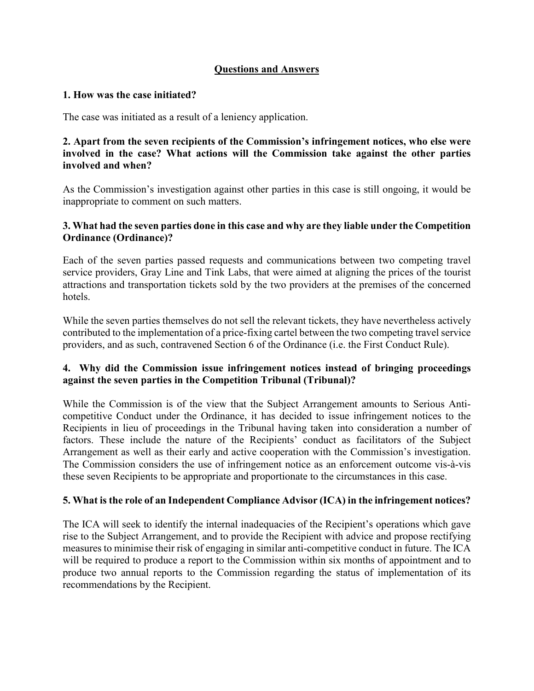# **Questions and Answers**

### **1. How was the case initiated?**

The case was initiated as a result of a leniency application.

## **2. Apart from the seven recipients of the Commission's infringement notices, who else were involved in the case? What actions will the Commission take against the other parties involved and when?**

As the Commission's investigation against other parties in this case is still ongoing, it would be inappropriate to comment on such matters.

## **3. What had the seven parties done in this case and why are they liable under the Competition Ordinance (Ordinance)?**

Each of the seven parties passed requests and communications between two competing travel service providers, Gray Line and Tink Labs, that were aimed at aligning the prices of the tourist attractions and transportation tickets sold by the two providers at the premises of the concerned hotels.

While the seven parties themselves do not sell the relevant tickets, they have nevertheless actively contributed to the implementation of a price-fixing cartel between the two competing travel service providers, and as such, contravened Section 6 of the Ordinance (i.e. the First Conduct Rule).

# **4. Why did the Commission issue infringement notices instead of bringing proceedings against the seven parties in the Competition Tribunal (Tribunal)?**

While the Commission is of the view that the Subject Arrangement amounts to Serious Anticompetitive Conduct under the Ordinance, it has decided to issue infringement notices to the Recipients in lieu of proceedings in the Tribunal having taken into consideration a number of factors. These include the nature of the Recipients' conduct as facilitators of the Subject Arrangement as well as their early and active cooperation with the Commission's investigation. The Commission considers the use of infringement notice as an enforcement outcome vis-à-vis these seven Recipients to be appropriate and proportionate to the circumstances in this case.

# **5. What is the role of an Independent Compliance Advisor (ICA) in the infringement notices?**

The ICA will seek to identify the internal inadequacies of the Recipient's operations which gave rise to the Subject Arrangement, and to provide the Recipient with advice and propose rectifying measures to minimise their risk of engaging in similar anti-competitive conduct in future. The ICA will be required to produce a report to the Commission within six months of appointment and to produce two annual reports to the Commission regarding the status of implementation of its recommendations by the Recipient.